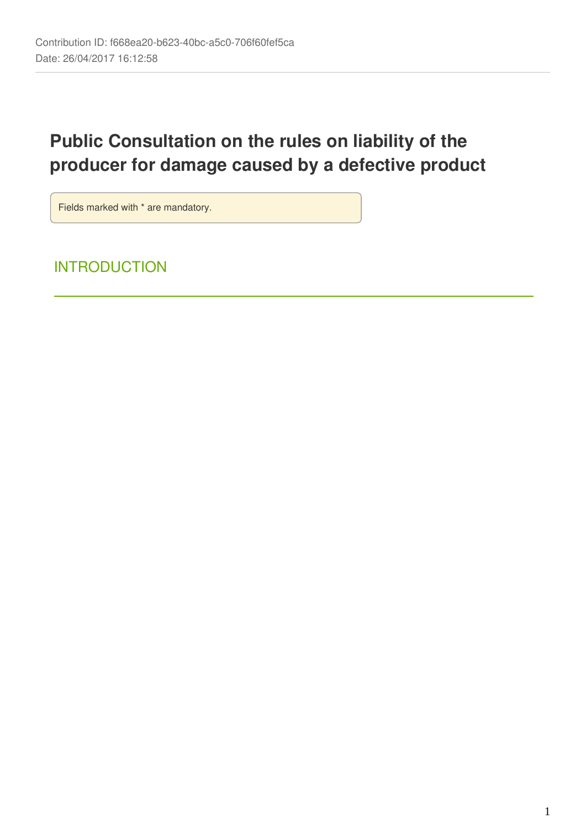# **Public Consultation on the rules on liability of the producer for damage caused by a defective product**

Fields marked with \* are mandatory.

# **INTRODUCTION**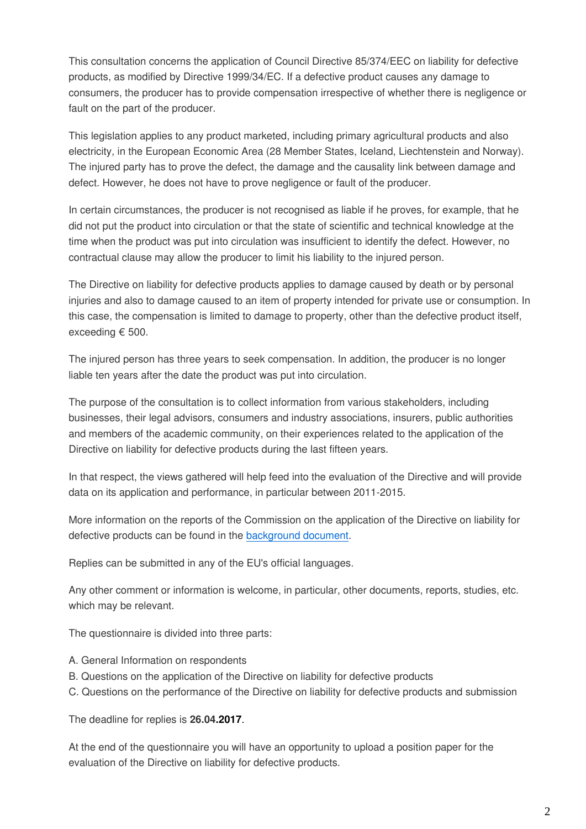This consultation concerns the application of Council Directive 85/374/EEC on liability for defective products, as modified by Directive 1999/34/EC. If a defective product causes any damage to consumers, the producer has to provide compensation irrespective of whether there is negligence or fault on the part of the producer.

This legislation applies to any product marketed, including primary agricultural products and also electricity, in the European Economic Area (28 Member States, Iceland, Liechtenstein and Norway). The injured party has to prove the defect, the damage and the causality link between damage and defect. However, he does not have to prove negligence or fault of the producer.

In certain circumstances, the producer is not recognised as liable if he proves, for example, that he did not put the product into circulation or that the state of scientific and technical knowledge at the time when the product was put into circulation was insufficient to identify the defect. However, no contractual clause may allow the producer to limit his liability to the injured person.

The Directive on liability for defective products applies to damage caused by death or by personal injuries and also to damage caused to an item of property intended for private use or consumption. In this case, the compensation is limited to damage to property, other than the defective product itself, exceeding € 500.

The injured person has three years to seek compensation. In addition, the producer is no longer liable ten years after the date the product was put into circulation.

The purpose of the consultation is to collect information from various stakeholders, including businesses, their legal advisors, consumers and industry associations, insurers, public authorities and members of the academic community, on their experiences related to the application of the Directive on liability for defective products during the last fifteen years.

In that respect, the views gathered will help feed into the evaluation of the Directive and will provide data on its application and performance, in particular between 2011-2015.

More information on the reports of the Commission on the application of the Directive on liability for defective products can be found in the [background document](http://ec.europa.eu/DocsRoom/documents/20671).

Replies can be submitted in any of the EU's official languages.

Any other comment or information is welcome, in particular, other documents, reports, studies, etc. which may be relevant.

The questionnaire is divided into three parts:

- A. General Information on respondents
- B. Questions on the application of the Directive on liability for defective products
- C. Questions on the performance of the Directive on liability for defective products and submission

The deadline for replies is **26.04.2017**.

At the end of the questionnaire you will have an opportunity to upload a position paper for the evaluation of the Directive on liability for defective products.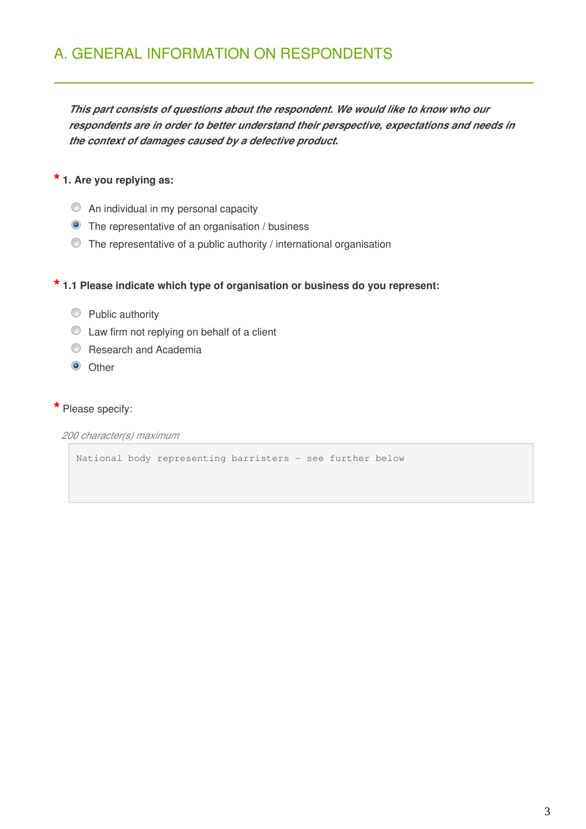*This part consists of questions about the respondent. We would like to know who our respondents are in order to better understand their perspective, expectations and needs in the context of damages caused by a defective product.*

# **\* 1. Are you replying as:**

- $\circledcirc$  An individual in my personal capacity
- **O** The representative of an organisation / business
- The representative of a public authority / international organisation

# **\* 1.1 Please indicate which type of organisation or business do you represent:**

- **Public authority**
- $\bullet$  Law firm not replying on behalf of a client
- **C** Research and Academia
- <sup>O</sup> Other

### **\*** Please specify:

*200 character(s) maximum*

National body representing barristers - see further below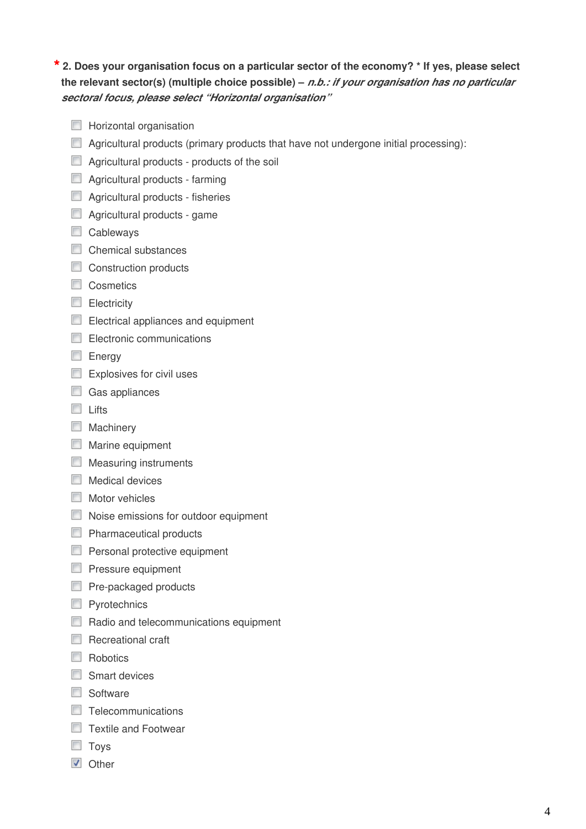## **\* 2. Does your organisation focus on a particular sector of the economy? \* If yes, please select the relevant sector(s) (multiple choice possible) –** *n.b.: if your organisation has no particular sectoral focus, please select "Horizontal organisation"*

- $\Box$  Horizontal organisation
- Agricultural products (primary products that have not undergone initial processing):
- **Agricultural products products of the soil**
- **Agricultural products farming**
- **Agricultural products fisheries**
- **Agricultural products game**
- Cableways
- Chemical substances
- Construction products
- Cosmetics
- **Electricity**
- Electrical appliances and equipment
- Electronic communications
- Energy
- $\Box$  Explosives for civil uses
- Gas appliances
- $\Box$  Lifts
- **Machinery**
- **Marine equipment**
- **Measuring instruments**
- $\Box$  Medical devices
- **Motor vehicles**
- Noise emissions for outdoor equipment
- **Pharmaceutical products**
- **Personal protective equipment**
- **Pressure equipment**
- **Pre-packaged products**
- **Pyrotechnics**
- Radio and telecommunications equipment
- $\Box$  Recreational craft
- **Robotics**
- Smart devices
- Software
- □ Telecommunications
- □ Textile and Footwear
- **Toys**
- **V** Other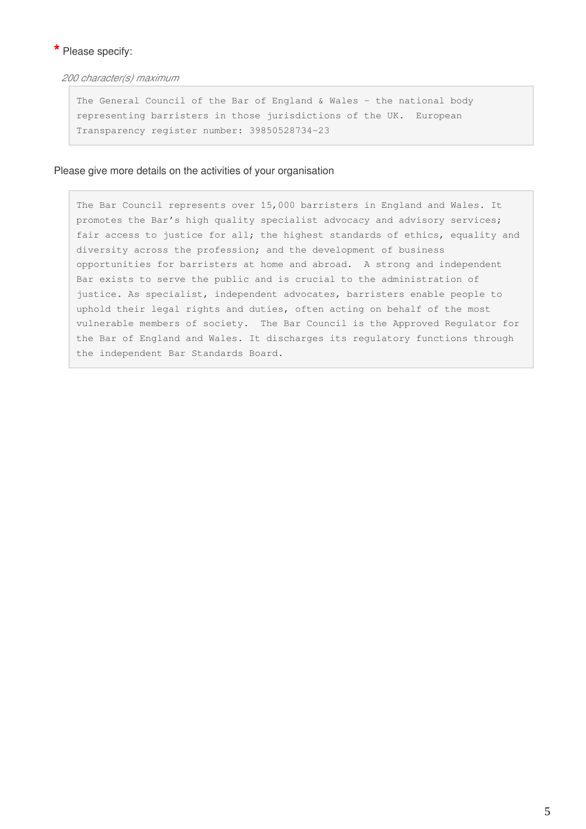### **\*** Please specify:

*200 character(s) maximum*

The General Council of the Bar of England & Wales - the national body representing barristers in those jurisdictions of the UK. European Transparency register number: 39850528734-23

#### Please give more details on the activities of your organisation

The Bar Council represents over 15,000 barristers in England and Wales. It promotes the Bar's high quality specialist advocacy and advisory services; fair access to justice for all; the highest standards of ethics, equality and diversity across the profession; and the development of business opportunities for barristers at home and abroad. A strong and independent Bar exists to serve the public and is crucial to the administration of justice. As specialist, independent advocates, barristers enable people to uphold their legal rights and duties, often acting on behalf of the most vulnerable members of society. The Bar Council is the Approved Regulator for the Bar of England and Wales. It discharges its regulatory functions through the independent Bar Standards Board.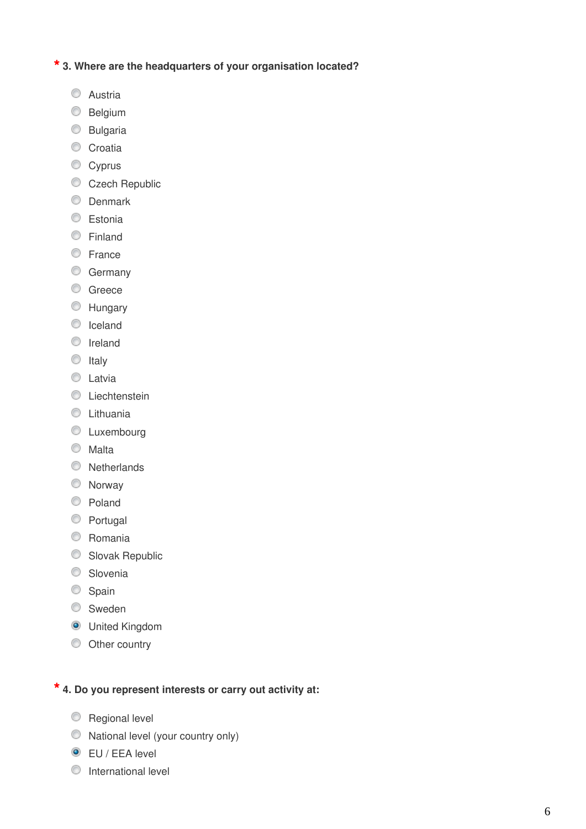# **\* 3. Where are the headquarters of your organisation located?**

- **C** Austria
- **Belgium**
- **Bulgaria**
- Croatia
- Cyprus
- Czech Republic
- **O** Denmark
- C Estonia
- **Einland**
- **Erance**
- **Germany**
- C Greece
- **EXT** Hungary
- C Iceland
- **O** Ireland
- $\circ$  Italy
- **C** Latvia
- C Liechtenstein
- **C** Lithuania
- **C** Luxembourg
- **O** Malta
- **Netherlands**
- Norway
- C Poland
- **Portugal**
- C Romania
- Slovak Republic
- **Slovenia**
- Spain
- **Sweden**
- **O** United Kingdom
- $\circledcirc$  Other country

# **\* 4. Do you represent interests or carry out activity at:**

- **Regional level**
- $\circledcirc$  National level (your country only)
- **O** EU / EEA level
- **O** International level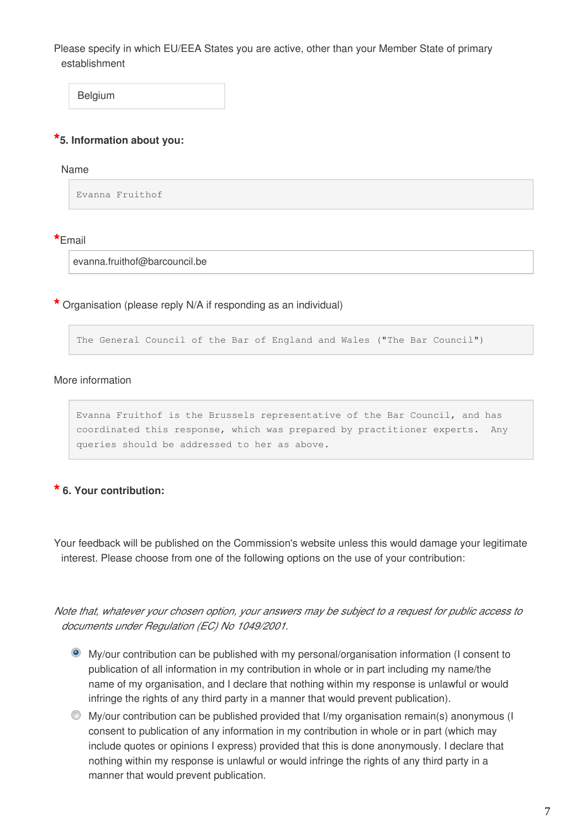Please specify in which EU/EEA States you are active, other than your Member State of primary establishment

Belgium

### **\*5. Information about you:**

#### Name

Evanna Fruithof

#### **\***Email

evanna.fruithof@barcouncil.be

**\*** Organisation (please reply N/A if responding as an individual)

The General Council of the Bar of England and Wales ("The Bar Council")

#### More information

Evanna Fruithof is the Brussels representative of the Bar Council, and has coordinated this response, which was prepared by practitioner experts. Any queries should be addressed to her as above.

## **\* 6. Your contribution:**

Your feedback will be published on the Commission's website unless this would damage your legitimate interest. Please choose from one of the following options on the use of your contribution:

*Note that, whatever your chosen option, your answers may be subject to a request for public access to documents under Regulation (EC) No 1049/2001.*

- My/our contribution can be published with my personal/organisation information (I consent to publication of all information in my contribution in whole or in part including my name/the name of my organisation, and I declare that nothing within my response is unlawful or would infringe the rights of any third party in a manner that would prevent publication).
- My/our contribution can be published provided that I/my organisation remain(s) anonymous (I consent to publication of any information in my contribution in whole or in part (which may include quotes or opinions I express) provided that this is done anonymously. I declare that nothing within my response is unlawful or would infringe the rights of any third party in a manner that would prevent publication.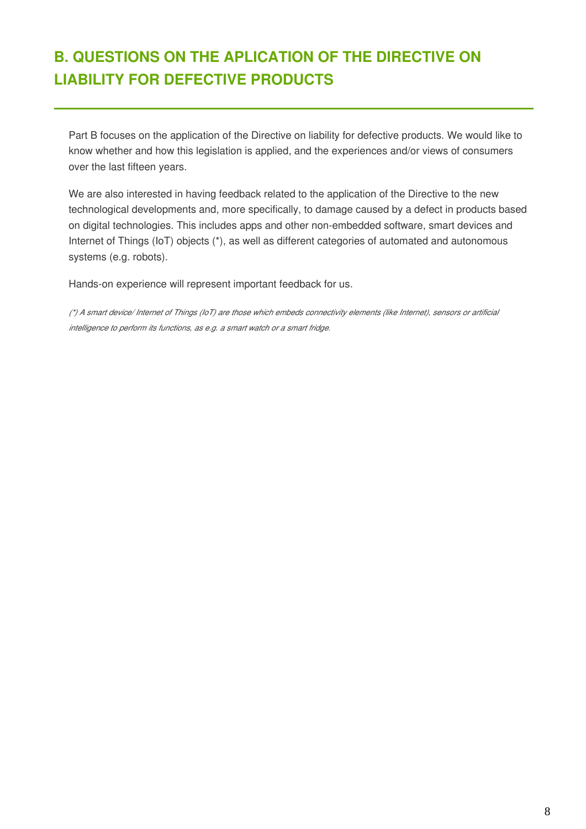# **B. QUESTIONS ON THE APLICATION OF THE DIRECTIVE ON LIABILITY FOR DEFECTIVE PRODUCTS**

Part B focuses on the application of the Directive on liability for defective products. We would like to know whether and how this legislation is applied, and the experiences and/or views of consumers over the last fifteen years.

We are also interested in having feedback related to the application of the Directive to the new technological developments and, more specifically, to damage caused by a defect in products based on digital technologies. This includes apps and other non-embedded software, smart devices and Internet of Things (IoT) objects (\*), as well as different categories of automated and autonomous systems (e.g. robots).

Hands-on experience will represent important feedback for us.

*(\*) A smart device/ Internet of Things (IoT) are those which embeds connectivity elements (like Internet), sensors or artificial intelligence to perform its functions, as e.g. a smart watch or a smart fridge.*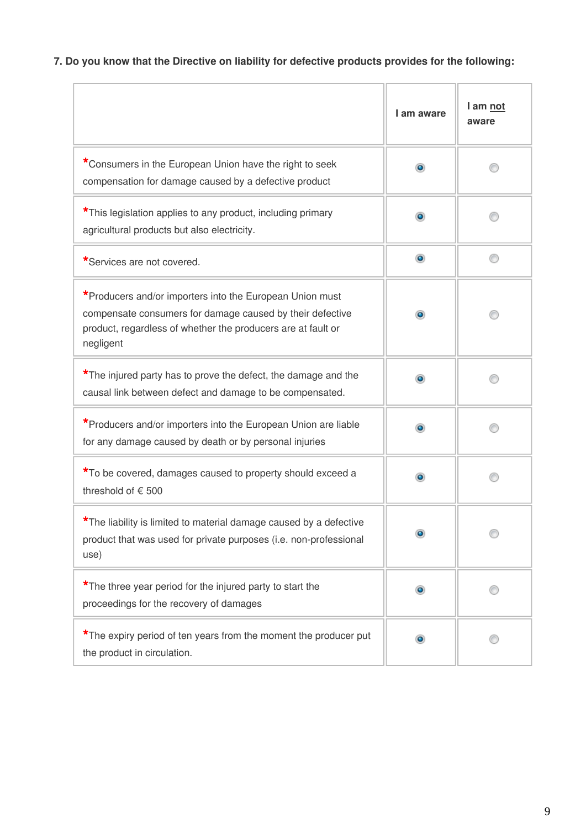# **7. Do you know that the Directive on liability for defective products provides for the following:**

|                                                                                                                                                                                                    | I am aware     | I am not<br>aware |
|----------------------------------------------------------------------------------------------------------------------------------------------------------------------------------------------------|----------------|-------------------|
| *Consumers in the European Union have the right to seek<br>compensation for damage caused by a defective product                                                                                   |                |                   |
| *This legislation applies to any product, including primary<br>agricultural products but also electricity.                                                                                         | ۰              |                   |
| *Services are not covered.                                                                                                                                                                         | $\circledcirc$ |                   |
| *Producers and/or importers into the European Union must<br>compensate consumers for damage caused by their defective<br>product, regardless of whether the producers are at fault or<br>negligent | ۰              |                   |
| *The injured party has to prove the defect, the damage and the<br>causal link between defect and damage to be compensated.                                                                         | $\bullet$      |                   |
| *Producers and/or importers into the European Union are liable<br>for any damage caused by death or by personal injuries                                                                           |                |                   |
| *To be covered, damages caused to property should exceed a<br>threshold of € 500                                                                                                                   | $\bullet$      |                   |
| *The liability is limited to material damage caused by a defective<br>product that was used for private purposes (i.e. non-professional<br>use)                                                    |                |                   |
| *The three year period for the injured party to start the<br>proceedings for the recovery of damages                                                                                               | ۰              |                   |
| *The expiry period of ten years from the moment the producer put<br>the product in circulation.                                                                                                    |                |                   |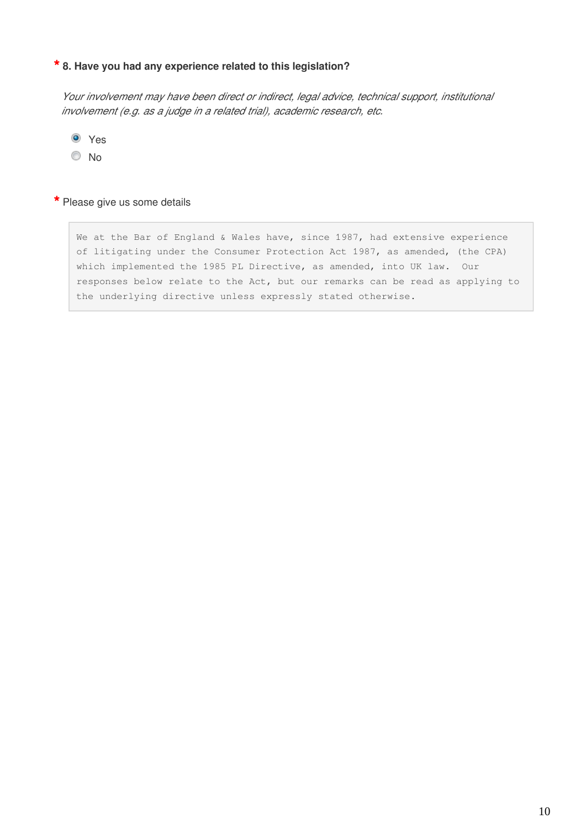# **\* 8. Have you had any experience related to this legislation?**

*Your involvement may have been direct or indirect, legal advice, technical support, institutional involvement (e.g. as a judge in a related trial), academic research, etc.*

Yes

<sup>O</sup>No

#### **\*** Please give us some details

We at the Bar of England & Wales have, since 1987, had extensive experience of litigating under the Consumer Protection Act 1987, as amended, (the CPA) which implemented the 1985 PL Directive, as amended, into UK law. Our responses below relate to the Act, but our remarks can be read as applying to the underlying directive unless expressly stated otherwise.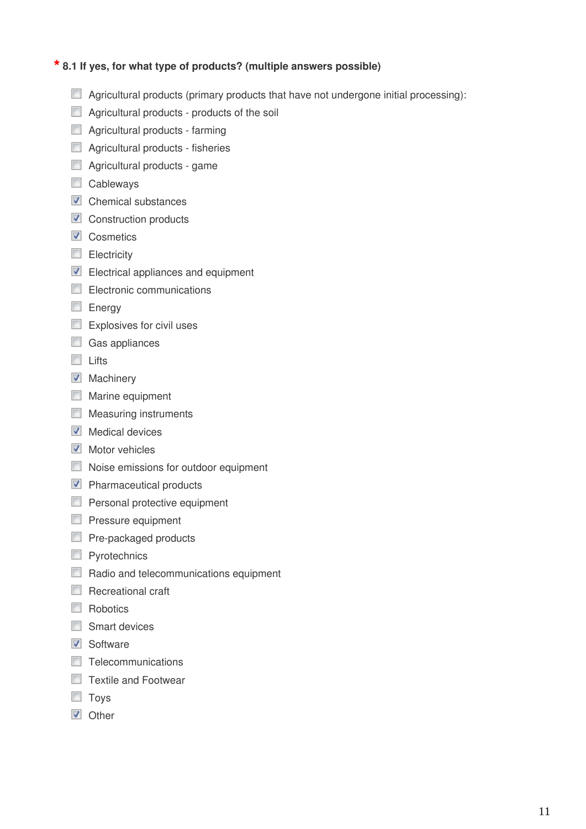## **\* 8.1 If yes, for what type of products? (multiple answers possible)**

- $\Box$  Agricultural products (primary products that have not undergone initial processing):
- $\Box$  Agricultural products products of the soil
- **Agricultural products farming**
- **Agricultural products fisheries**
- Agricultural products game
- Cableways
- $\triangledown$  Chemical substances
- $\blacksquare$  Construction products
- **V** Cosmetics
- **Electricity**
- Electrical appliances and equipment
- Electronic communications
- **Energy**
- Explosives for civil uses
- Gas appliances
- Lifts
- **V** Machinery
- **Marine equipment**
- **Measuring instruments**
- $\blacksquare$  Medical devices
- $\blacksquare$  Motor vehicles
- Noise emissions for outdoor equipment
- **Pharmaceutical products**
- **Personal protective equipment**
- **Pressure equipment**
- Pre-packaged products
- **Pyrotechnics**
- Radio and telecommunications equipment
- $\Box$  Recreational craft
- Robotics
- Smart devices
- **V** Software
- $\Box$  Telecommunications
- □ Textile and Footwear
- **Toys**
- **V** Other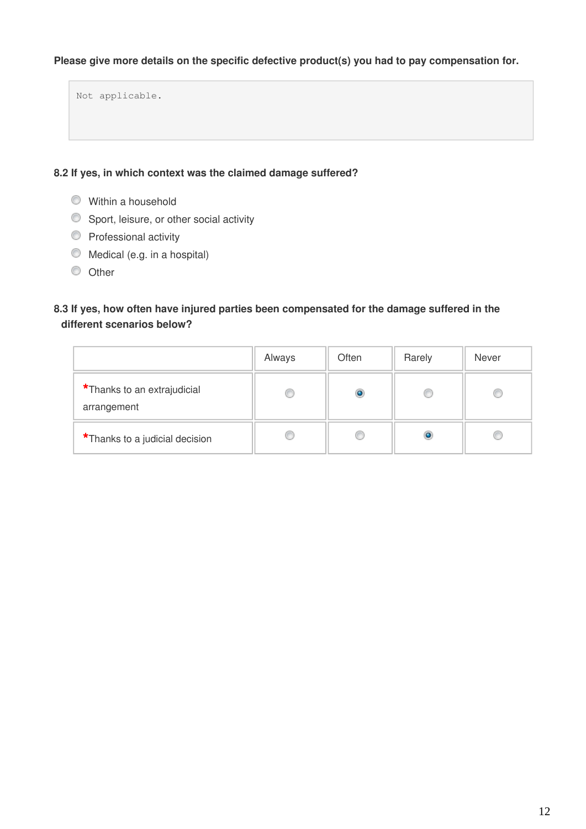## **Please give more details on the specific defective product(s) you had to pay compensation for.**

Not applicable.

### **8.2 If yes, in which context was the claimed damage suffered?**

- Within a household
- Sport, leisure, or other social activity
- **Professional activity**
- $\bullet$  Medical (e.g. in a hospital)
- $\circ$  Other

## **8.3 If yes, how often have injured parties been compensated for the damage suffered in the different scenarios below?**

|                                            | Always | Often   | Rarely | Never |
|--------------------------------------------|--------|---------|--------|-------|
| *Thanks to an extrajudicial<br>arrangement |        | $\circ$ |        |       |
| *Thanks to a judicial decision             |        |         |        |       |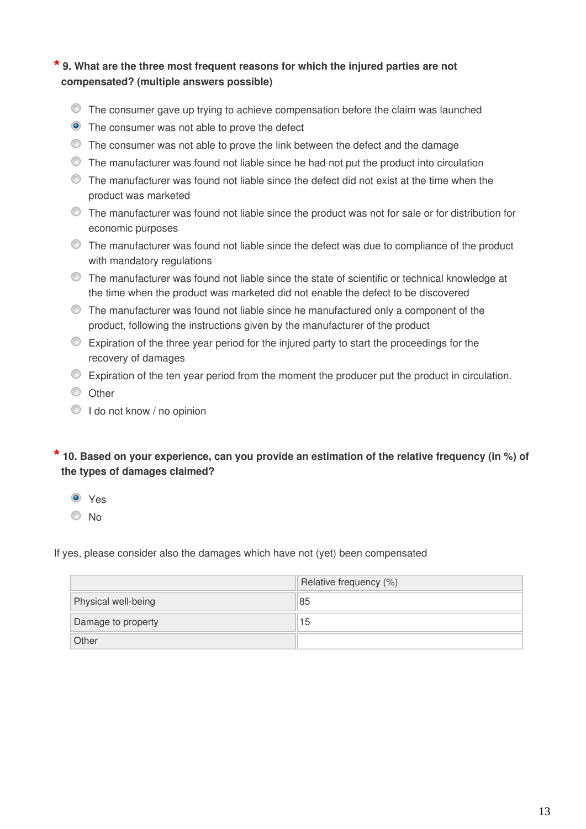## **\* 9. What are the three most frequent reasons for which the injured parties are not compensated? (multiple answers possible)**

- The consumer gave up trying to achieve compensation before the claim was launched
- The consumer was not able to prove the defect
- The consumer was not able to prove the link between the defect and the damage
- The manufacturer was found not liable since he had not put the product into circulation
- The manufacturer was found not liable since the defect did not exist at the time when the product was marketed
- The manufacturer was found not liable since the product was not for sale or for distribution for economic purposes
- $\bullet$  The manufacturer was found not liable since the defect was due to compliance of the product with mandatory regulations
- The manufacturer was found not liable since the state of scientific or technical knowledge at the time when the product was marketed did not enable the defect to be discovered
- The manufacturer was found not liable since he manufactured only a component of the product, following the instructions given by the manufacturer of the product
- Expiration of the three year period for the injured party to start the proceedings for the recovery of damages
- Expiration of the ten year period from the moment the producer put the product in circulation.
- <sup>O</sup> Other
- $\bigcirc$  I do not know / no opinion

## **\* 10. Based on your experience, can you provide an estimation of the relative frequency (in %) of the types of damages claimed?**

Yes

No

If yes, please consider also the damages which have not (yet) been compensated

|                     | Relative frequency (%) |
|---------------------|------------------------|
| Physical well-being | 85                     |
| Damage to property  | 15                     |
| Other               |                        |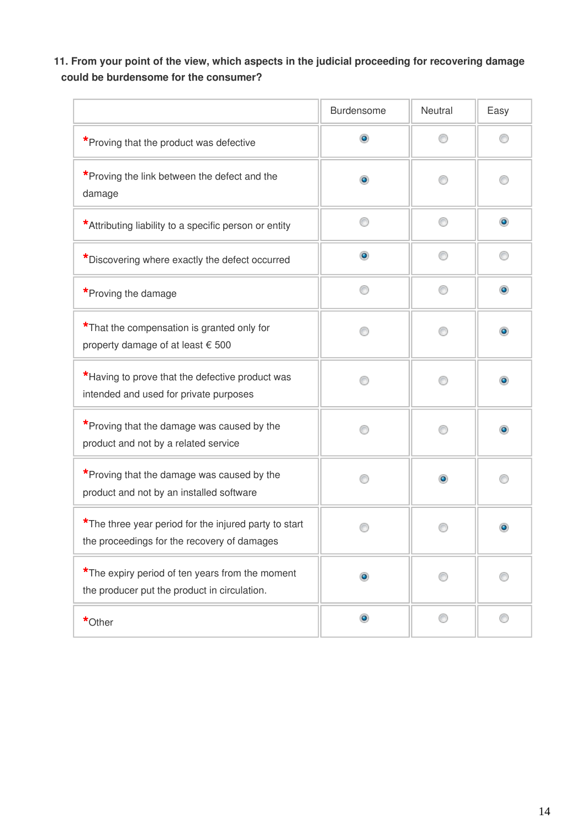**11. From your point of the view, which aspects in the judicial proceeding for recovering damage could be burdensome for the consumer?**

|                                                                                                      | <b>Burdensome</b> | <b>Neutral</b> | Easy      |
|------------------------------------------------------------------------------------------------------|-------------------|----------------|-----------|
| *Proving that the product was defective                                                              | $\bullet$         | ⋒              |           |
| *Proving the link between the defect and the<br>damage                                               | $\bullet$         |                |           |
| *Attributing liability to a specific person or entity                                                |                   | ⋒              | $\bullet$ |
| *Discovering where exactly the defect occurred                                                       | $_{\odot}$        | ∩              | ◎         |
| *Proving the damage                                                                                  |                   | ∩              | $\bullet$ |
| *That the compensation is granted only for<br>property damage of at least € 500                      |                   | ⋒              | ۰         |
| *Having to prove that the defective product was<br>intended and used for private purposes            |                   |                |           |
| *Proving that the damage was caused by the<br>product and not by a related service                   |                   |                |           |
| *Proving that the damage was caused by the<br>product and not by an installed software               |                   | ۰              |           |
| *The three year period for the injured party to start<br>the proceedings for the recovery of damages |                   |                |           |
| *The expiry period of ten years from the moment<br>the producer put the product in circulation.      | $\bullet$         | ∩              |           |
| *Other                                                                                               | $\bullet$         | ⊙              | ⊙         |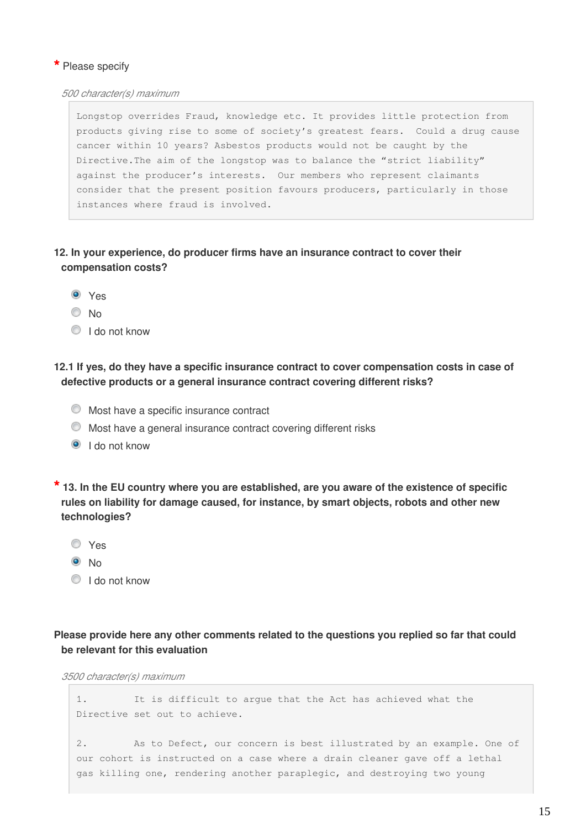### **\*** Please specify

*500 character(s) maximum*

Longstop overrides Fraud, knowledge etc. It provides little protection from products giving rise to some of society's greatest fears. Could a drug cause cancer within 10 years? Asbestos products would not be caught by the Directive.The aim of the longstop was to balance the "strict liability" against the producer's interests. Our members who represent claimants consider that the present position favours producers, particularly in those instances where fraud is involved.

- **12. In your experience, do producer firms have an insurance contract to cover their compensation costs?**
	- <sup>O</sup> Yes
	- <sup>O</sup>No
	- I do not know

**12.1 If yes, do they have a specific insurance contract to cover compensation costs in case of defective products or a general insurance contract covering different risks?**

- Most have a specific insurance contract
- $\bullet$  Most have a general insurance contract covering different risks
- I do not know

**\* 13. In the EU country where you are established, are you aware of the existence of specific rules on liability for damage caused, for instance, by smart objects, robots and other new technologies?**

- Yes
- $\odot$  No
- I do not know

## **Please provide here any other comments related to the questions you replied so far that could be relevant for this evaluation**

*3500 character(s) maximum*

1. It is difficult to argue that the Act has achieved what the Directive set out to achieve.

2. As to Defect, our concern is best illustrated by an example. One of our cohort is instructed on a case where a drain cleaner gave off a lethal gas killing one, rendering another paraplegic, and destroying two young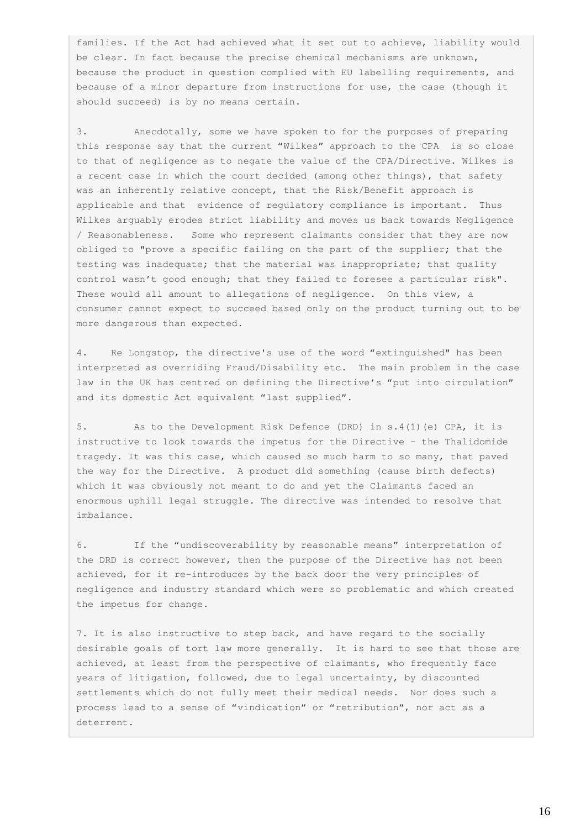families. If the Act had achieved what it set out to achieve, liability would be clear. In fact because the precise chemical mechanisms are unknown, because the product in question complied with EU labelling requirements, and because of a minor departure from instructions for use, the case (though it should succeed) is by no means certain.

3. Anecdotally, some we have spoken to for the purposes of preparing this response say that the current "Wilkes" approach to the CPA is so close to that of negligence as to negate the value of the CPA/Directive. Wilkes is a recent case in which the court decided (among other things), that safety was an inherently relative concept, that the Risk/Benefit approach is applicable and that evidence of regulatory compliance is important. Thus Wilkes arguably erodes strict liability and moves us back towards Negligence / Reasonableness. Some who represent claimants consider that they are now obliged to "prove a specific failing on the part of the supplier; that the testing was inadequate; that the material was inappropriate; that quality control wasn't good enough; that they failed to foresee a particular risk". These would all amount to allegations of negligence. On this view, a consumer cannot expect to succeed based only on the product turning out to be more dangerous than expected.

4. Re Longstop, the directive's use of the word "extinguished" has been interpreted as overriding Fraud/Disability etc. The main problem in the case law in the UK has centred on defining the Directive's "put into circulation" and its domestic Act equivalent "last supplied".

5. As to the Development Risk Defence (DRD) in s.4(1)(e) CPA, it is instructive to look towards the impetus for the Directive – the Thalidomide tragedy. It was this case, which caused so much harm to so many, that paved the way for the Directive. A product did something (cause birth defects) which it was obviously not meant to do and yet the Claimants faced an enormous uphill legal struggle. The directive was intended to resolve that imbalance.

6. If the "undiscoverability by reasonable means" interpretation of the DRD is correct however, then the purpose of the Directive has not been achieved, for it re-introduces by the back door the very principles of negligence and industry standard which were so problematic and which created the impetus for change.

7. It is also instructive to step back, and have regard to the socially desirable goals of tort law more generally. It is hard to see that those are achieved, at least from the perspective of claimants, who frequently face years of litigation, followed, due to legal uncertainty, by discounted settlements which do not fully meet their medical needs. Nor does such a process lead to a sense of "vindication" or "retribution", nor act as a deterrent.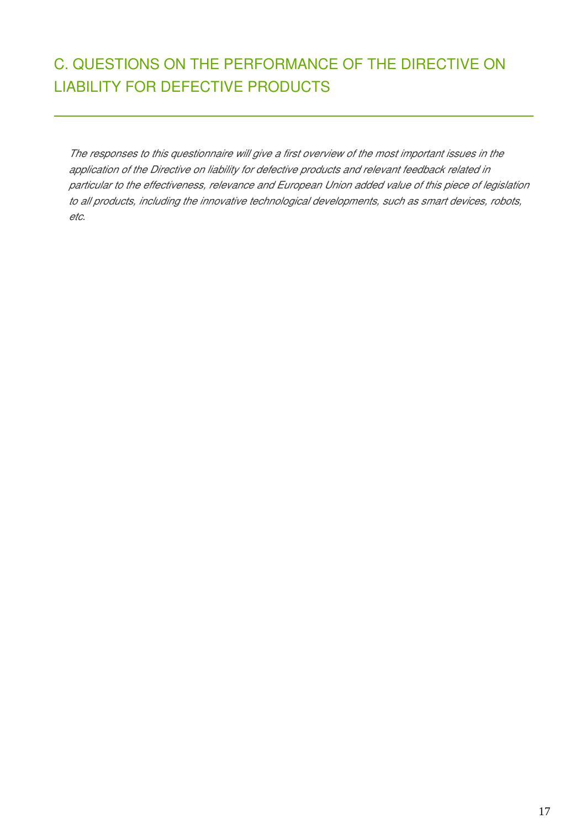# C. QUESTIONS ON THE PERFORMANCE OF THE DIRECTIVE ON LIABILITY FOR DEFECTIVE PRODUCTS

*The responses to this questionnaire will give a first overview of the most important issues in the application of the Directive on liability for defective products and relevant feedback related in particular to the effectiveness, relevance and European Union added value of this piece of legislation to all products, including the innovative technological developments, such as smart devices, robots, etc.*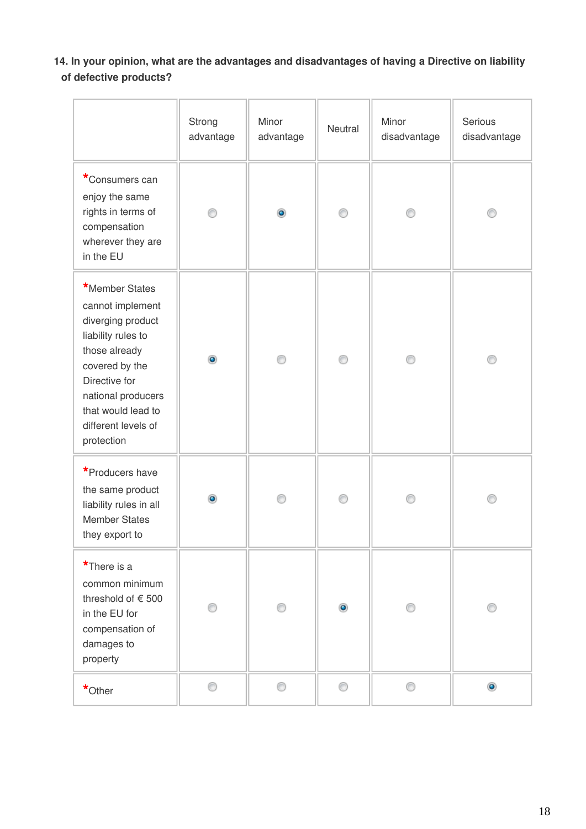**14. In your opinion, what are the advantages and disadvantages of having a Directive on liability of defective products?**

|                                                                                                                                                                                                                    | Strong<br>advantage | Minor<br>advantage | Neutral   | Minor<br>disadvantage | Serious<br>disadvantage |
|--------------------------------------------------------------------------------------------------------------------------------------------------------------------------------------------------------------------|---------------------|--------------------|-----------|-----------------------|-------------------------|
| *Consumers can<br>enjoy the same<br>rights in terms of<br>compensation<br>wherever they are<br>in the EU                                                                                                           | ∩                   | $\bullet$          | 0         |                       | €                       |
| *Member States<br>cannot implement<br>diverging product<br>liability rules to<br>those already<br>covered by the<br>Directive for<br>national producers<br>that would lead to<br>different levels of<br>protection | ۵                   | ⊙                  | 0         |                       | ⊙                       |
| *Producers have<br>the same product<br>liability rules in all<br><b>Member States</b><br>they export to                                                                                                            | ۰                   | ⊙                  | ⊙         |                       | C                       |
| *There is a<br>common minimum<br>threshold of € 500<br>in the EU for<br>compensation of<br>damages to<br>property                                                                                                  | ⋒                   | ⊙                  | $\bullet$ |                       | €                       |
| *Other                                                                                                                                                                                                             | 0                   | 0                  | 0         | ⊙                     | $\bullet$               |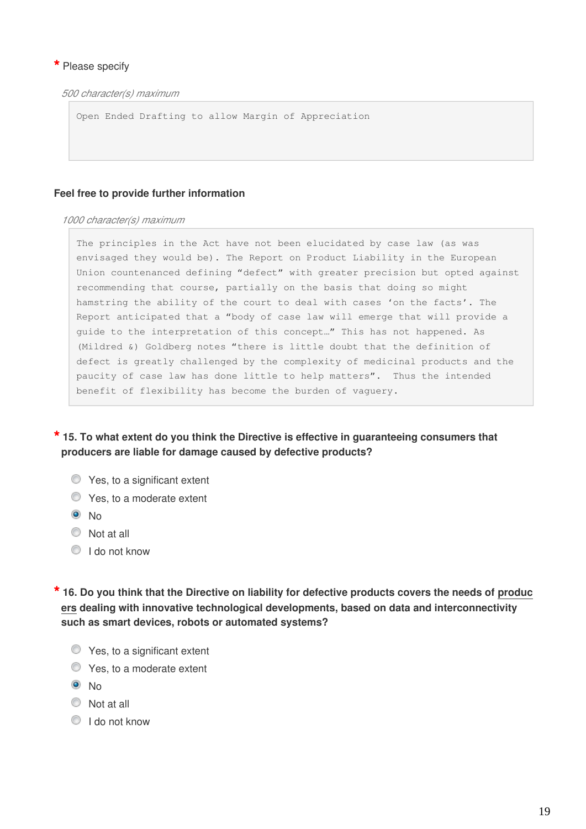### **\*** Please specify

*500 character(s) maximum*

Open Ended Drafting to allow Margin of Appreciation

#### **Feel free to provide further information**

#### *1000 character(s) maximum*

The principles in the Act have not been elucidated by case law (as was envisaged they would be). The Report on Product Liability in the European Union countenanced defining "defect" with greater precision but opted against recommending that course, partially on the basis that doing so might hamstring the ability of the court to deal with cases 'on the facts'. The Report anticipated that a "body of case law will emerge that will provide a guide to the interpretation of this concept…" This has not happened. As (Mildred &) Goldberg notes "there is little doubt that the definition of defect is greatly challenged by the complexity of medicinal products and the paucity of case law has done little to help matters". Thus the intended benefit of flexibility has become the burden of vaguery.

**\* 15. To what extent do you think the Directive is effective in guaranteeing consumers that producers are liable for damage caused by defective products?**

- $\bullet$  Yes, to a significant extent
- **C** Yes, to a moderate extent
- <sup>O</sup>No
- $\circledcirc$  Not at all
- I do not know

**\* 16. Do you think that the Directive on liability for defective products covers the needs of produc ers dealing with innovative technological developments, based on data and interconnectivity such as smart devices, robots or automated systems?**

- **S** Yes, to a significant extent
- $\bullet$  Yes, to a moderate extent
- $\odot$  No
- $\circledcirc$  Not at all
- I do not know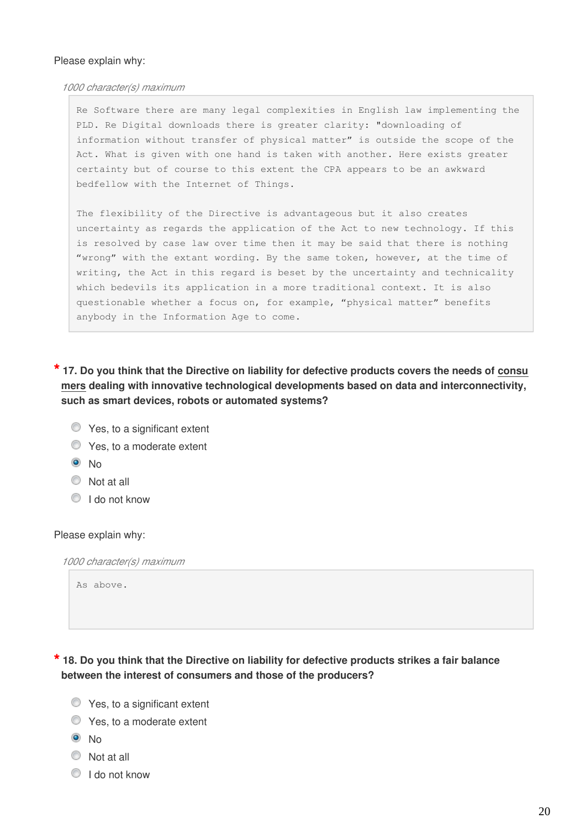#### Please explain why:

#### *1000 character(s) maximum*

Re Software there are many legal complexities in English law implementing the PLD. Re Digital downloads there is greater clarity: "downloading of information without transfer of physical matter" is outside the scope of the Act. What is given with one hand is taken with another. Here exists greater certainty but of course to this extent the CPA appears to be an awkward bedfellow with the Internet of Things.

The flexibility of the Directive is advantageous but it also creates uncertainty as regards the application of the Act to new technology. If this is resolved by case law over time then it may be said that there is nothing "wrong" with the extant wording. By the same token, however, at the time of writing, the Act in this regard is beset by the uncertainty and technicality which bedevils its application in a more traditional context. It is also questionable whether a focus on, for example, "physical matter" benefits anybody in the Information Age to come.

**\* 17. Do you think that the Directive on liability for defective products covers the needs of consu mers dealing with innovative technological developments based on data and interconnectivity, such as smart devices, robots or automated systems?**

- **C** Yes, to a significant extent
- **C** Yes, to a moderate extent
- $\odot$  No
- Not at all
- $\bigcirc$  I do not know

#### Please explain why:

*1000 character(s) maximum*

As above.

**\* 18. Do you think that the Directive on liability for defective products strikes a fair balance between the interest of consumers and those of the producers?**

- $\bullet$  Yes, to a significant extent
- Yes, to a moderate extent
- $\odot$  No
- $\bullet$  Not at all
- I do not know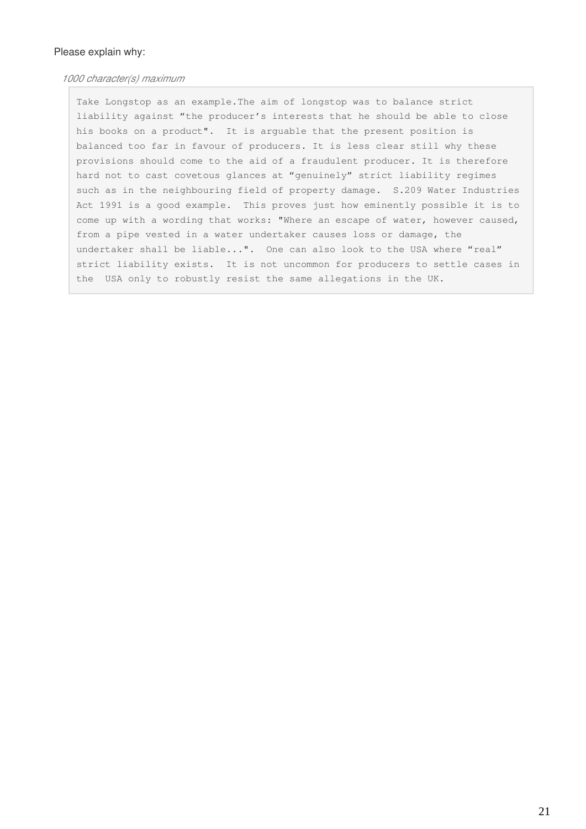#### Please explain why:

#### *1000 character(s) maximum*

Take Longstop as an example.The aim of longstop was to balance strict liability against "the producer's interests that he should be able to close his books on a product". It is arguable that the present position is balanced too far in favour of producers. It is less clear still why these provisions should come to the aid of a fraudulent producer. It is therefore hard not to cast covetous glances at "genuinely" strict liability regimes such as in the neighbouring field of property damage. S.209 Water Industries Act 1991 is a good example. This proves just how eminently possible it is to come up with a wording that works: "Where an escape of water, however caused, from a pipe vested in a water undertaker causes loss or damage, the undertaker shall be liable...". One can also look to the USA where "real" strict liability exists. It is not uncommon for producers to settle cases in the USA only to robustly resist the same allegations in the UK.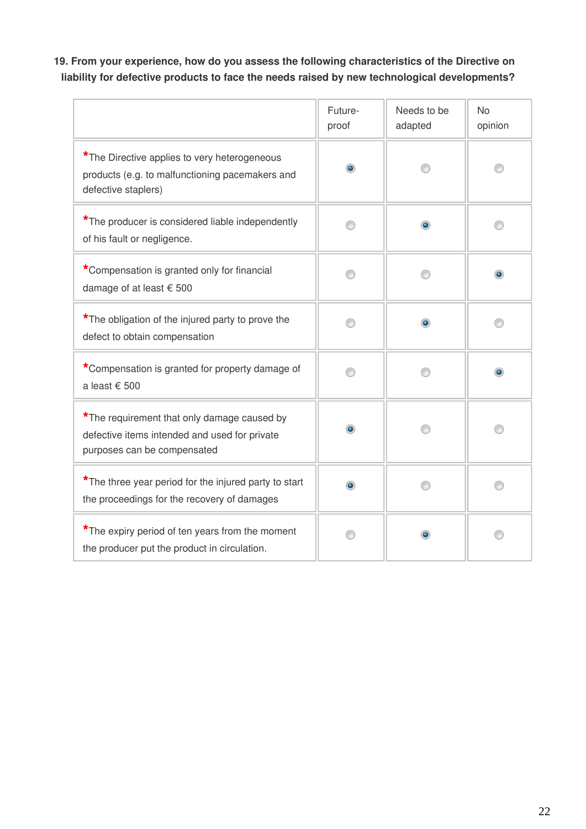# **19. From your experience, how do you assess the following characteristics of the Directive on liability for defective products to face the needs raised by new technological developments?**

|                                                                                                                             | Future-<br>proof | Needs to be<br>adapted | <b>No</b><br>opinion |
|-----------------------------------------------------------------------------------------------------------------------------|------------------|------------------------|----------------------|
| *The Directive applies to very heterogeneous<br>products (e.g. to malfunctioning pacemakers and<br>defective staplers)      | $\bullet$        |                        |                      |
| *The producer is considered liable independently<br>of his fault or negligence.                                             |                  | ۰                      |                      |
| *Compensation is granted only for financial<br>damage of at least € 500                                                     |                  |                        |                      |
| *The obligation of the injured party to prove the<br>defect to obtain compensation                                          |                  | ۰                      |                      |
| *Compensation is granted for property damage of<br>a least € 500                                                            |                  |                        |                      |
| *The requirement that only damage caused by<br>defective items intended and used for private<br>purposes can be compensated |                  |                        |                      |
| *The three year period for the injured party to start<br>the proceedings for the recovery of damages                        |                  |                        |                      |
| *The expiry period of ten years from the moment<br>the producer put the product in circulation.                             |                  |                        |                      |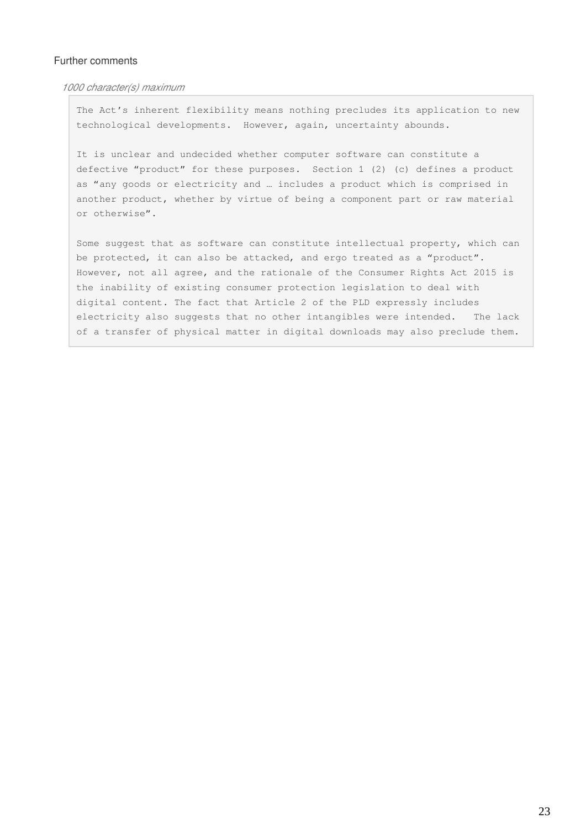#### Further comments

*1000 character(s) maximum*

The Act's inherent flexibility means nothing precludes its application to new technological developments. However, again, uncertainty abounds.

It is unclear and undecided whether computer software can constitute a defective "product" for these purposes. Section 1 (2) (c) defines a product as "any goods or electricity and … includes a product which is comprised in another product, whether by virtue of being a component part or raw material or otherwise".

Some suggest that as software can constitute intellectual property, which can be protected, it can also be attacked, and ergo treated as a "product". However, not all agree, and the rationale of the Consumer Rights Act 2015 is the inability of existing consumer protection legislation to deal with digital content. The fact that Article 2 of the PLD expressly includes electricity also suggests that no other intangibles were intended. The lack of a transfer of physical matter in digital downloads may also preclude them.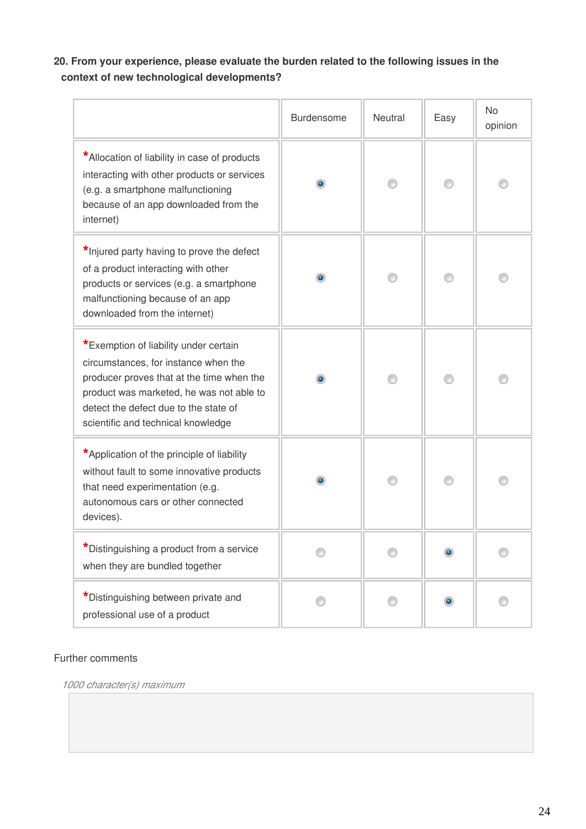# **20. From your experience, please evaluate the burden related to the following issues in the context of new technological developments?**

|                                                                                                                                                                                                                                                       | Burdensome | Neutral | Easy      | <b>No</b><br>opinion |
|-------------------------------------------------------------------------------------------------------------------------------------------------------------------------------------------------------------------------------------------------------|------------|---------|-----------|----------------------|
| *Allocation of liability in case of products<br>interacting with other products or services<br>(e.g. a smartphone malfunctioning<br>because of an app downloaded from the<br>internet)                                                                | $\bullet$  |         |           |                      |
| *Injured party having to prove the defect<br>of a product interacting with other<br>products or services (e.g. a smartphone<br>malfunctioning because of an app<br>downloaded from the internet)                                                      |            |         |           |                      |
| *Exemption of liability under certain<br>circumstances, for instance when the<br>producer proves that at the time when the<br>product was marketed, he was not able to<br>detect the defect due to the state of<br>scientific and technical knowledge | ۰          |         |           |                      |
| *Application of the principle of liability<br>without fault to some innovative products<br>that need experimentation (e.g.<br>autonomous cars or other connected<br>devices).                                                                         | $\bullet$  |         |           |                      |
| *Distinguishing a product from a service<br>when they are bundled together                                                                                                                                                                            |            |         |           |                      |
| *Distinguishing between private and<br>professional use of a product                                                                                                                                                                                  |            |         | $\bullet$ |                      |

## Further comments

*1000 character(s) maximum*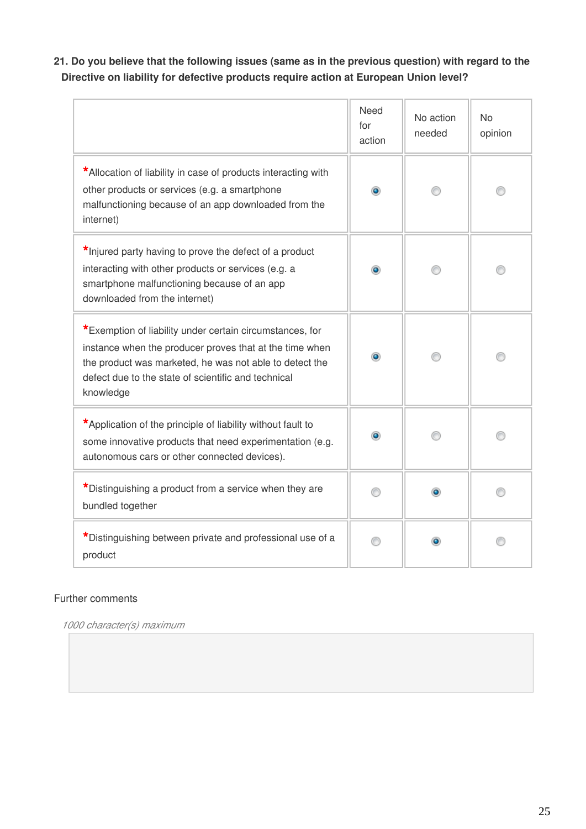**21. Do you believe that the following issues (same as in the previous question) with regard to the Directive on liability for defective products require action at European Union level?**

|                                                                                                                                                                                                                                                    | <b>Need</b><br>for<br>action | No action<br>needed | <b>No</b><br>opinion |
|----------------------------------------------------------------------------------------------------------------------------------------------------------------------------------------------------------------------------------------------------|------------------------------|---------------------|----------------------|
| *Allocation of liability in case of products interacting with<br>other products or services (e.g. a smartphone<br>malfunctioning because of an app downloaded from the<br>internet)                                                                | $\bullet$                    |                     |                      |
| *Injured party having to prove the defect of a product<br>interacting with other products or services (e.g. a<br>smartphone malfunctioning because of an app<br>downloaded from the internet)                                                      |                              |                     |                      |
| *Exemption of liability under certain circumstances, for<br>instance when the producer proves that at the time when<br>the product was marketed, he was not able to detect the<br>defect due to the state of scientific and technical<br>knowledge |                              |                     |                      |
| *Application of the principle of liability without fault to<br>some innovative products that need experimentation (e.g.<br>autonomous cars or other connected devices).                                                                            |                              |                     |                      |
| *Distinguishing a product from a service when they are<br>bundled together                                                                                                                                                                         |                              |                     |                      |
| *Distinguishing between private and professional use of a<br>product                                                                                                                                                                               |                              | $\bullet$           |                      |

## Further comments

*1000 character(s) maximum*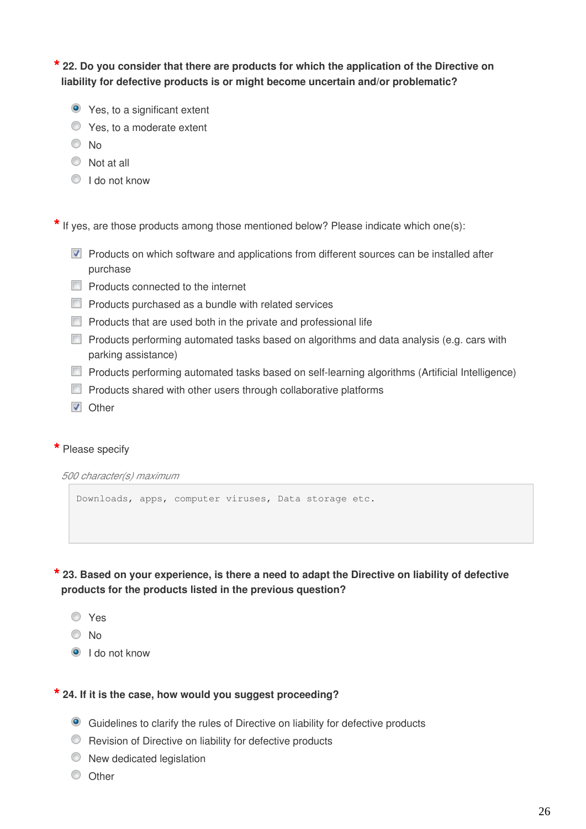**\* 22. Do you consider that there are products for which the application of the Directive on liability for defective products is or might become uncertain and/or problematic?**

- Yes, to a significant extent
- Yes, to a moderate extent
- <sup>O</sup>No
- $\circledcirc$  Not at all
- **I** do not know

**\*** If yes, are those products among those mentioned below? Please indicate which one(s):

- **Products on which software and applications from different sources can be installed after** purchase
- **Products connected to the internet**
- **Products purchased as a bundle with related services**
- $\Box$  Products that are used both in the private and professional life
- **Products performing automated tasks based on algorithms and data analysis (e.g. cars with** parking assistance)
- **Products performing automated tasks based on self-learning algorithms (Artificial Intelligence)**
- $\Box$  Products shared with other users through collaborative platforms
- **V** Other

#### **\*** Please specify

*500 character(s) maximum*

Downloads, apps, computer viruses, Data storage etc.

**\* 23. Based on your experience, is there a need to adapt the Directive on liability of defective products for the products listed in the previous question?**

- Yes
- <sup>O</sup>No
- I do not know

#### **\* 24. If it is the case, how would you suggest proceeding?**

- Guidelines to clarify the rules of Directive on liability for defective products
- **C** Revision of Directive on liability for defective products
- $\bullet$  New dedicated legislation
- O Other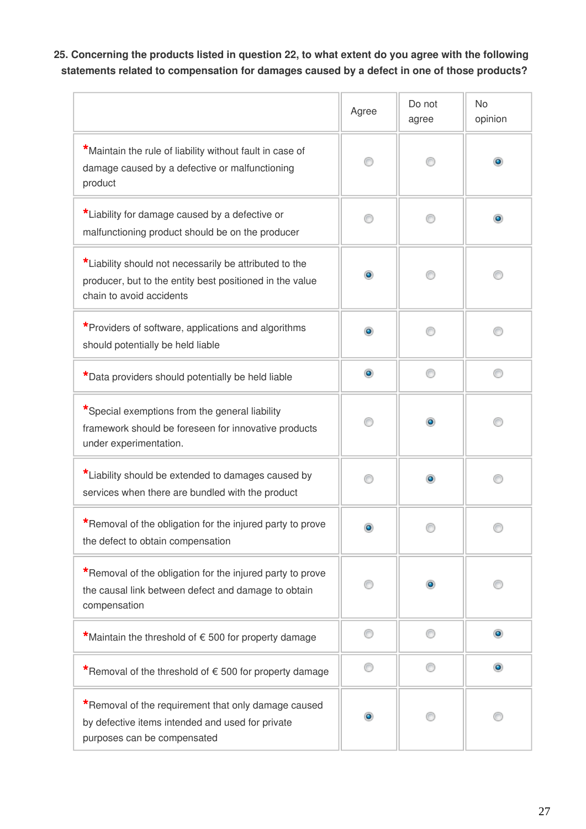# **25. Concerning the products listed in question 22, to what extent do you agree with the following statements related to compensation for damages caused by a defect in one of those products?**

|                                                                                                                                                | Agree     | Do not<br>agree | No<br>opinion |
|------------------------------------------------------------------------------------------------------------------------------------------------|-----------|-----------------|---------------|
| *Maintain the rule of liability without fault in case of<br>damage caused by a defective or malfunctioning<br>product                          |           |                 |               |
| *Liability for damage caused by a defective or<br>malfunctioning product should be on the producer                                             |           |                 | $\bullet$     |
| *Liability should not necessarily be attributed to the<br>producer, but to the entity best positioned in the value<br>chain to avoid accidents | ۰         |                 |               |
| *Providers of software, applications and algorithms<br>should potentially be held liable                                                       | $\bullet$ |                 |               |
| *Data providers should potentially be held liable                                                                                              | $\bullet$ | ⋒               |               |
| *Special exemptions from the general liability<br>framework should be foreseen for innovative products<br>under experimentation.               |           | $\bullet$       |               |
| *Liability should be extended to damages caused by<br>services when there are bundled with the product                                         | ⋒         | ۰               |               |
| *Removal of the obligation for the injured party to prove<br>the defect to obtain compensation                                                 |           |                 |               |
| *Removal of the obligation for the injured party to prove<br>the causal link between defect and damage to obtain<br>compensation               |           |                 |               |
| *Maintain the threshold of $\epsilon$ 500 for property damage                                                                                  | ⊙         | ⋒               | $\bullet$     |
| *Removal of the threshold of €500 for property damage                                                                                          | ∩         | ⋒               | $\bullet$     |
| *Removal of the requirement that only damage caused<br>by defective items intended and used for private<br>purposes can be compensated         | ۰         |                 |               |